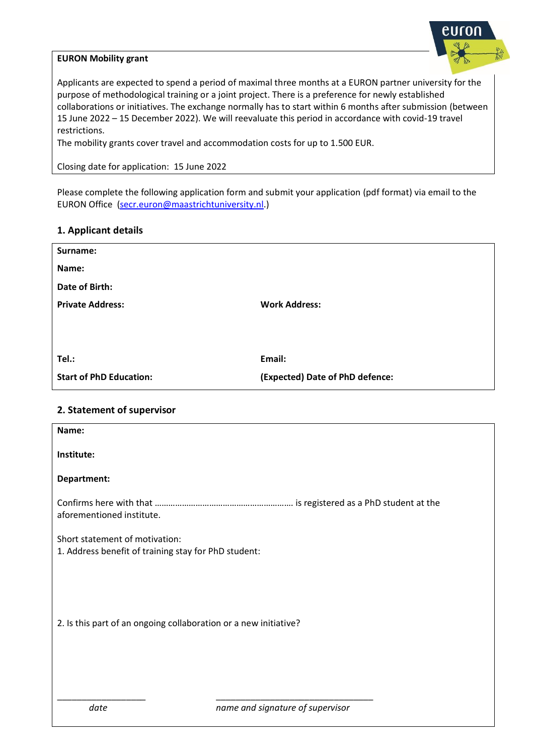

### **EURON Mobility grant**

Applicants are expected to spend a period of maximal three months at a EURON partner university for the purpose of methodological training or a joint project. There is a preference for newly established collaborations or initiatives. The exchange normally has to start within 6 months after submission (between 15 June 2022 – 15 December 2022). We will reevaluate this period in accordance with covid-19 travel restrictions.

The mobility grants cover travel and accommodation costs for up to 1.500 EUR.

Closing date for application: 15 June 2022

Please complete the following application form and submit your application (pdf format) via email to the EURON Office [\(secr.euron@maastrichtuniversity.nl.\)](mailto:secr.euron@maastrichtuniversity.nl)

### **1. Applicant details**

| Surname:                       |                                 |
|--------------------------------|---------------------------------|
| Name:                          |                                 |
| Date of Birth:                 |                                 |
| <b>Private Address:</b>        | <b>Work Address:</b>            |
|                                |                                 |
|                                |                                 |
| Tel.:                          | Email:                          |
| <b>Start of PhD Education:</b> | (Expected) Date of PhD defence: |

### **2. Statement of supervisor**

| Name:                                                                                  |  |
|----------------------------------------------------------------------------------------|--|
| Institute:                                                                             |  |
| Department:                                                                            |  |
| aforementioned institute.                                                              |  |
| Short statement of motivation:<br>1. Address benefit of training stay for PhD student: |  |
|                                                                                        |  |
| 2. Is this part of an ongoing collaboration or a new initiative?                       |  |
|                                                                                        |  |
| date<br>name and signature of supervisor                                               |  |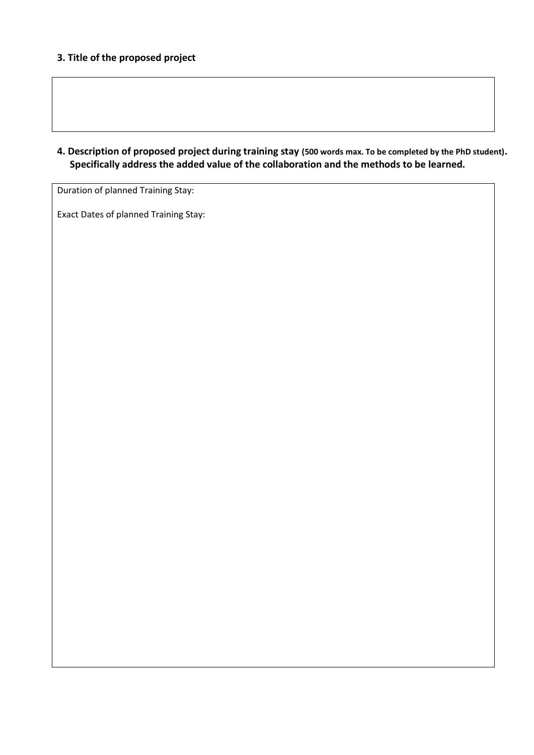## **3. Title of the proposed project**

**4. Description of proposed project during training stay (500 words max. To be completed by the PhD student). Specifically address the added value of the collaboration and the methods to be learned.** 

Duration of planned Training Stay:

Exact Dates of planned Training Stay: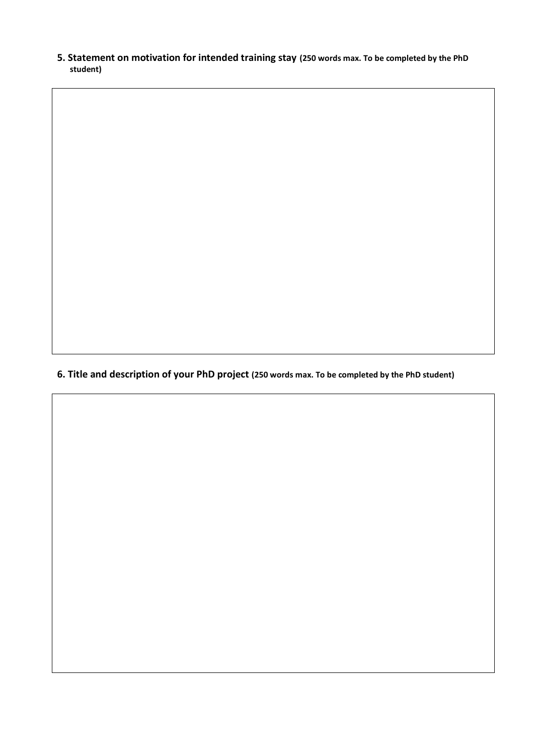**5. Statement on motivation for intended training stay (250 words max. To be completed by the PhD student)**

**6. Title and description of your PhD project (250 words max. To be completed by the PhD student)**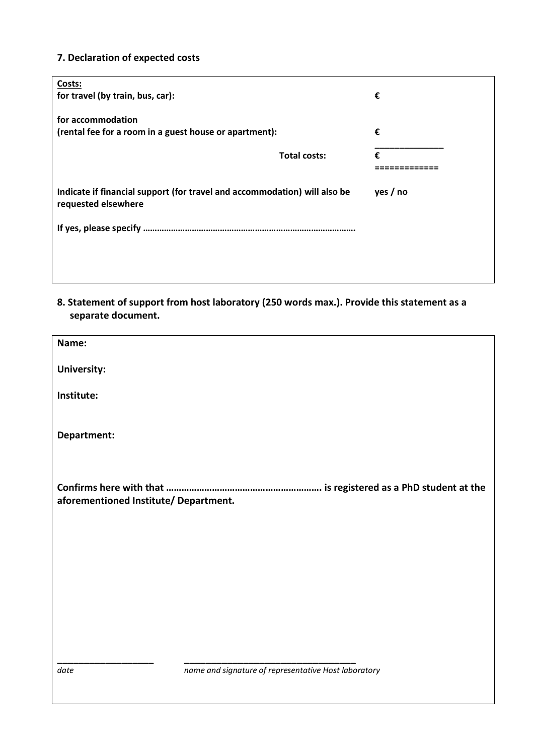# **7. Declaration of expected costs**

| Costs:                                                                                           |                     |          |
|--------------------------------------------------------------------------------------------------|---------------------|----------|
| for travel (by train, bus, car):                                                                 |                     | €        |
|                                                                                                  |                     |          |
| for accommodation                                                                                |                     |          |
| (rental fee for a room in a guest house or apartment):                                           |                     | €        |
|                                                                                                  |                     |          |
|                                                                                                  | <b>Total costs:</b> | €        |
|                                                                                                  |                     |          |
| Indicate if financial support (for travel and accommodation) will also be<br>requested elsewhere |                     |          |
|                                                                                                  |                     | yes / no |
|                                                                                                  |                     |          |
|                                                                                                  |                     |          |
|                                                                                                  |                     |          |
|                                                                                                  |                     |          |

**8. Statement of support from host laboratory (250 words max.). Provide this statement as a separate document.** 

| Name:                                 |                                                      |
|---------------------------------------|------------------------------------------------------|
| <b>University:</b>                    |                                                      |
| Institute:                            |                                                      |
|                                       |                                                      |
| Department:                           |                                                      |
|                                       |                                                      |
|                                       |                                                      |
| aforementioned Institute/ Department. |                                                      |
|                                       |                                                      |
|                                       |                                                      |
|                                       |                                                      |
|                                       |                                                      |
|                                       |                                                      |
|                                       |                                                      |
| date                                  | name and signature of representative Host laboratory |
|                                       |                                                      |